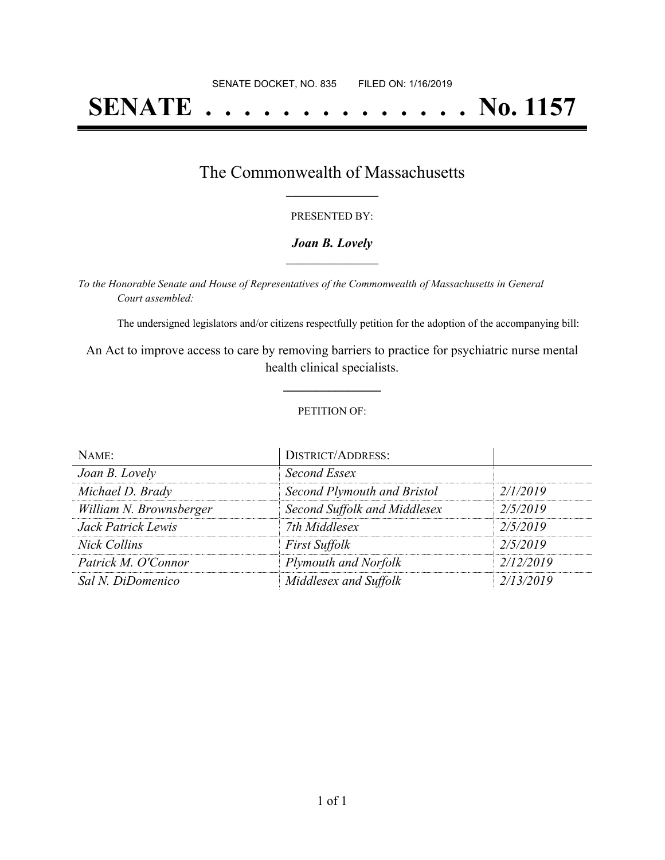# **SENATE . . . . . . . . . . . . . . No. 1157**

## The Commonwealth of Massachusetts **\_\_\_\_\_\_\_\_\_\_\_\_\_\_\_\_\_**

#### PRESENTED BY:

#### *Joan B. Lovely* **\_\_\_\_\_\_\_\_\_\_\_\_\_\_\_\_\_**

*To the Honorable Senate and House of Representatives of the Commonwealth of Massachusetts in General Court assembled:*

The undersigned legislators and/or citizens respectfully petition for the adoption of the accompanying bill:

An Act to improve access to care by removing barriers to practice for psychiatric nurse mental health clinical specialists.

**\_\_\_\_\_\_\_\_\_\_\_\_\_\_\_**

#### PETITION OF:

| NAME:                   | <b>DISTRICT/ADDRESS:</b>     |           |
|-------------------------|------------------------------|-----------|
| Joan B. Lovely          | Second Essex                 |           |
| Michael D. Brady        | Second Plymouth and Bristol  | 2/1/2019  |
| William N. Brownsberger | Second Suffolk and Middlesex | 2/5/2019  |
| Jack Patrick Lewis      | 7th Middlesex                | 2/5/2019  |
| <b>Nick Collins</b>     | <b>First Suffolk</b>         | 2/5/2019  |
| Patrick M. O'Connor     | Plymouth and Norfolk         | 2/12/2019 |
| Sal N. DiDomenico       | Middlesex and Suffolk        | 2/13/2019 |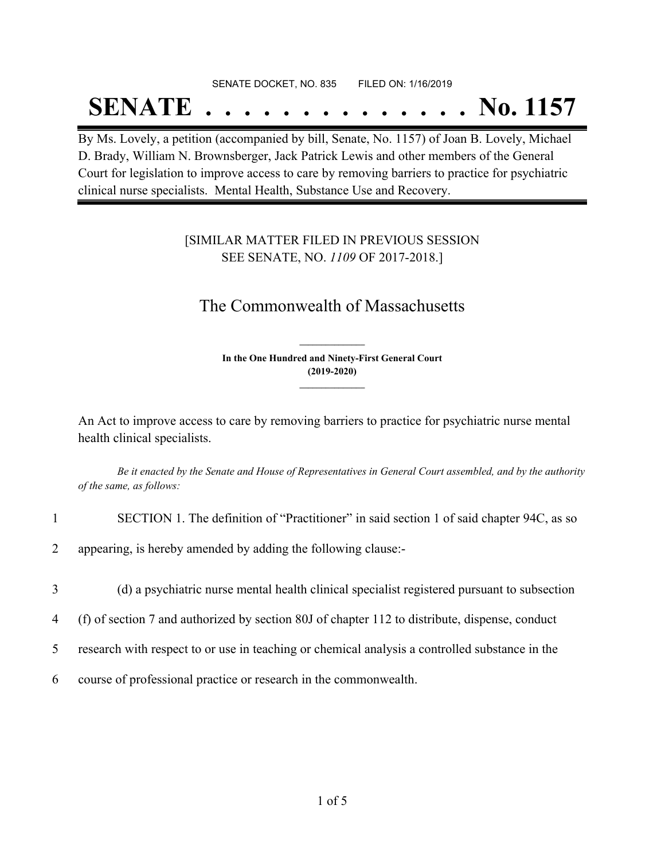## SENATE DOCKET, NO. 835 FILED ON: 1/16/2019 **SENATE . . . . . . . . . . . . . . No. 1157**

By Ms. Lovely, a petition (accompanied by bill, Senate, No. 1157) of Joan B. Lovely, Michael D. Brady, William N. Brownsberger, Jack Patrick Lewis and other members of the General Court for legislation to improve access to care by removing barriers to practice for psychiatric clinical nurse specialists. Mental Health, Substance Use and Recovery.

### [SIMILAR MATTER FILED IN PREVIOUS SESSION SEE SENATE, NO. *1109* OF 2017-2018.]

## The Commonwealth of Massachusetts

**In the One Hundred and Ninety-First General Court (2019-2020) \_\_\_\_\_\_\_\_\_\_\_\_\_\_\_**

**\_\_\_\_\_\_\_\_\_\_\_\_\_\_\_**

An Act to improve access to care by removing barriers to practice for psychiatric nurse mental health clinical specialists.

Be it enacted by the Senate and House of Representatives in General Court assembled, and by the authority *of the same, as follows:*

- 1 SECTION 1. The definition of "Practitioner" in said section 1 of said chapter 94C, as so
- 2 appearing, is hereby amended by adding the following clause:-
- 3 (d) a psychiatric nurse mental health clinical specialist registered pursuant to subsection
- 4 (f) of section 7 and authorized by section 80J of chapter 112 to distribute, dispense, conduct
- 5 research with respect to or use in teaching or chemical analysis a controlled substance in the
- 6 course of professional practice or research in the commonwealth.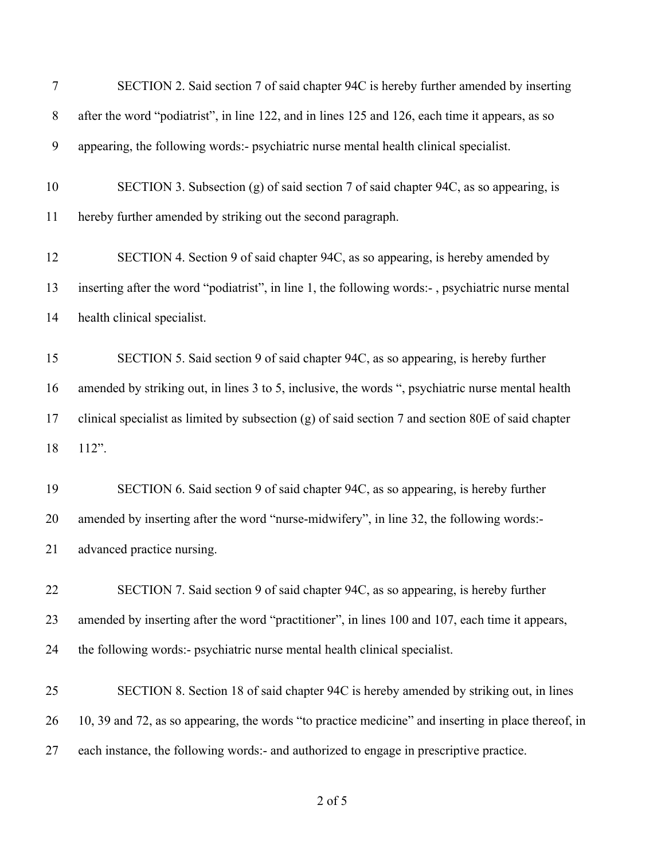| $\tau$ | SECTION 2. Said section 7 of said chapter 94C is hereby further amended by inserting                 |
|--------|------------------------------------------------------------------------------------------------------|
| $8\,$  | after the word "podiatrist", in line 122, and in lines 125 and 126, each time it appears, as so      |
| 9      | appearing, the following words:- psychiatric nurse mental health clinical specialist.                |
| 10     | SECTION 3. Subsection (g) of said section 7 of said chapter 94C, as so appearing, is                 |
| 11     | hereby further amended by striking out the second paragraph.                                         |
| 12     | SECTION 4. Section 9 of said chapter 94C, as so appearing, is hereby amended by                      |
| 13     | inserting after the word "podiatrist", in line 1, the following words:-, psychiatric nurse mental    |
| 14     | health clinical specialist.                                                                          |
| 15     | SECTION 5. Said section 9 of said chapter 94C, as so appearing, is hereby further                    |
| 16     | amended by striking out, in lines 3 to 5, inclusive, the words ", psychiatric nurse mental health    |
| 17     | clinical specialist as limited by subsection $(g)$ of said section 7 and section 80E of said chapter |
| 18     | 112".                                                                                                |
| 19     | SECTION 6. Said section 9 of said chapter 94C, as so appearing, is hereby further                    |
| 20     | amended by inserting after the word "nurse-midwifery", in line 32, the following words:-             |
| 21     | advanced practice nursing.                                                                           |
| 22     | SECTION 7. Said section 9 of said chapter 94C, as so appearing, is hereby further                    |
| 23     | amended by inserting after the word "practitioner", in lines 100 and 107, each time it appears,      |
| 24     | the following words:- psychiatric nurse mental health clinical specialist.                           |
| 25     | SECTION 8. Section 18 of said chapter 94C is hereby amended by striking out, in lines                |
| 26     | 10, 39 and 72, as so appearing, the words "to practice medicine" and inserting in place thereof, in  |
| 27     | each instance, the following words:- and authorized to engage in prescriptive practice.              |
|        |                                                                                                      |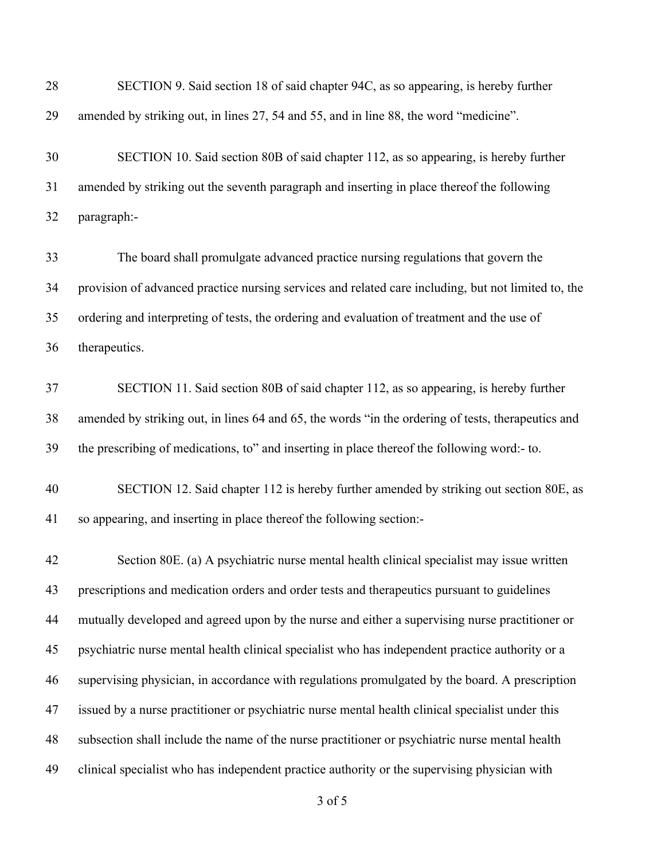| 28 | SECTION 9. Said section 18 of said chapter 94C, as so appearing, is hereby further                  |
|----|-----------------------------------------------------------------------------------------------------|
| 29 | amended by striking out, in lines 27, 54 and 55, and in line 88, the word "medicine".               |
| 30 | SECTION 10. Said section 80B of said chapter 112, as so appearing, is hereby further                |
| 31 | amended by striking out the seventh paragraph and inserting in place thereof the following          |
| 32 | paragraph:-                                                                                         |
| 33 | The board shall promulgate advanced practice nursing regulations that govern the                    |
| 34 | provision of advanced practice nursing services and related care including, but not limited to, the |
| 35 | ordering and interpreting of tests, the ordering and evaluation of treatment and the use of         |
| 36 | therapeutics.                                                                                       |
| 37 | SECTION 11. Said section 80B of said chapter 112, as so appearing, is hereby further                |
| 38 | amended by striking out, in lines 64 and 65, the words "in the ordering of tests, therapeutics and  |
| 39 | the prescribing of medications, to" and inserting in place thereof the following word:- to.         |
| 40 | SECTION 12. Said chapter 112 is hereby further amended by striking out section 80E, as              |
| 41 | so appearing, and inserting in place thereof the following section:-                                |
| 42 | Section 80E. (a) A psychiatric nurse mental health clinical specialist may issue written            |
| 43 | prescriptions and medication orders and order tests and therapeutics pursuant to guidelines         |
| 44 | mutually developed and agreed upon by the nurse and either a supervising nurse practitioner or      |
| 45 | psychiatric nurse mental health clinical specialist who has independent practice authority or a     |
| 46 | supervising physician, in accordance with regulations promulgated by the board. A prescription      |
| 47 | issued by a nurse practitioner or psychiatric nurse mental health clinical specialist under this    |
| 48 | subsection shall include the name of the nurse practitioner or psychiatric nurse mental health      |
| 49 | clinical specialist who has independent practice authority or the supervising physician with        |
|    |                                                                                                     |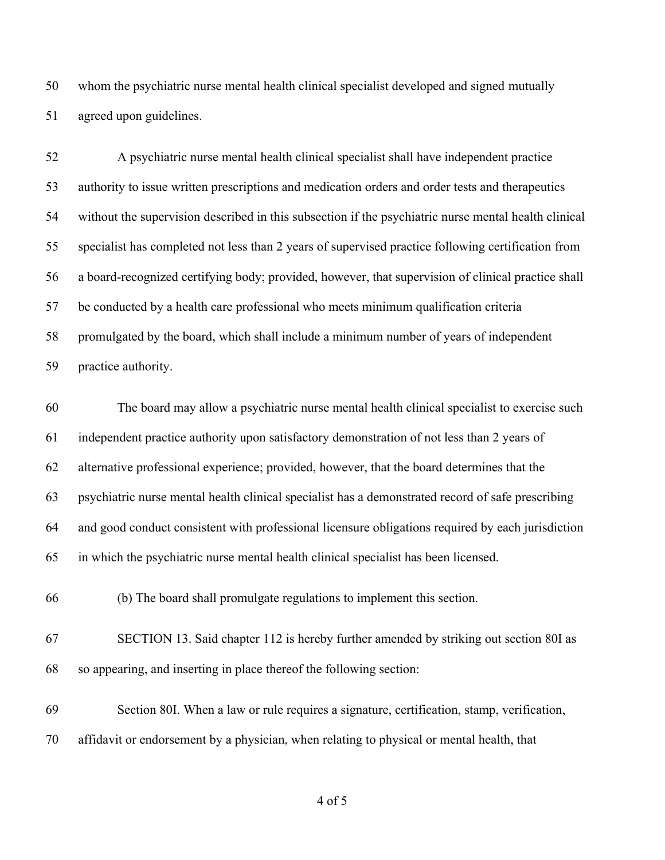whom the psychiatric nurse mental health clinical specialist developed and signed mutually agreed upon guidelines.

 A psychiatric nurse mental health clinical specialist shall have independent practice authority to issue written prescriptions and medication orders and order tests and therapeutics without the supervision described in this subsection if the psychiatric nurse mental health clinical specialist has completed not less than 2 years of supervised practice following certification from a board-recognized certifying body; provided, however, that supervision of clinical practice shall be conducted by a health care professional who meets minimum qualification criteria promulgated by the board, which shall include a minimum number of years of independent practice authority.

 The board may allow a psychiatric nurse mental health clinical specialist to exercise such independent practice authority upon satisfactory demonstration of not less than 2 years of alternative professional experience; provided, however, that the board determines that the psychiatric nurse mental health clinical specialist has a demonstrated record of safe prescribing and good conduct consistent with professional licensure obligations required by each jurisdiction in which the psychiatric nurse mental health clinical specialist has been licensed.

(b) The board shall promulgate regulations to implement this section.

- SECTION 13. Said chapter 112 is hereby further amended by striking out section 80I as so appearing, and inserting in place thereof the following section:
- Section 80I. When a law or rule requires a signature, certification, stamp, verification, affidavit or endorsement by a physician, when relating to physical or mental health, that